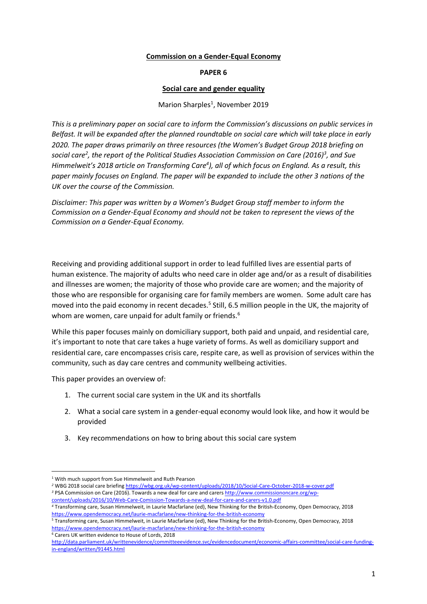#### **Commission on a Gender-Equal Economy**

#### **PAPER 6**

#### **Social care and gender equality**

# Marion Sharples<sup>1</sup>, November 2019

*This is a preliminary paper on social care to inform the Commission's discussions on public services in* Belfast. It will be expanded after the planned roundtable on social care which will take place in early *2020. The paper draws primarily on three resources (the Women's Budget Group 2018 briefing on* social care<sup>2</sup>, the report of the Political Studies Association Commission on Care (2016)<sup>3</sup>, and Sue Himmelweit's 2018 article on Transforming Care<sup>4</sup>), all of which focus on England. As a result, this *paper mainly focuses on England. The paper will be expanded to include the other 3 nations of the UK over the course of the Commission.*

*Disclaimer: This paper was written by a Women's Budget Group staff member to inform the Commission on a Gender-Equal Economy and should not be taken to represent the views of the Commission on a Gender-Equal Economy.*

Receiving and providing additional support in order to lead fulfilled lives are essential parts of human existence. The majority of adults who need care in older age and/or as a result of disabilities and illnesses are women; the majority of those who provide care are women; and the majority of those who are responsible for organising care for family members are women. Some adult care has moved into the paid economy in recent decades.<sup>5</sup> Still, 6.5 million people in the UK, the majority of whom are women, care unpaid for adult family or friends.<sup>6</sup>

While this paper focuses mainly on domiciliary support, both paid and unpaid, and residential care, it's important to note that care takes a huge variety of forms. As well as domiciliary support and residential care, care encompasses crisis care, respite care, as well as provision of services within the community, such as day care centres and community wellbeing activities.

This paper provides an overview of:

- 1. The current social care system in the UK and its shortfalls
- 2. What a social care system in a gender-equal economy would look like, and how it would be provided
- 3. Key recommendations on how to bring about this social care system

<sup>6</sup> Carers UK written evidence to House of Lords, 2018

<sup>1</sup> With much support from Sue Himmelweit and Ruth Pearson

*<sup>2</sup>* WBG 2018 social care briefing <https://wbg.org.uk/wp-content/uploads/2018/10/Social-Care-October-2018-w-cover.pdf> *<sup>3</sup>* PSA Commission on Care (2016). Towards a new deal for care and carers [http://www.commissiononcare.org/wp](http://www.commissiononcare.org/wp-content/uploads/2016/10/Web-Care-Comission-Towards-a-new-deal-for-care-and-carers-v1.0.pdf)[content/uploads/2016/10/Web-Care-Comission-Towards-a-new-deal-for-care-and-carers-v1.0.pdf](http://www.commissiononcare.org/wp-content/uploads/2016/10/Web-Care-Comission-Towards-a-new-deal-for-care-and-carers-v1.0.pdf)

*<sup>4</sup>* Transforming care, Susan Himmelweit, in Laurie Macfarlane (ed), New Thinking for the British-Economy, Open Democracy, 2018 <https://www.opendemocracy.net/laurie-macfarlane/new-thinking-for-the-british-economy>

<sup>5</sup> Transforming care, Susan Himmelweit, in Laurie Macfarlane (ed), New Thinking for the British-Economy, Open Democracy, 2018 <https://www.opendemocracy.net/laurie-macfarlane/new-thinking-for-the-british-economy>

[http://data.parliament.uk/writtenevidence/committeeevidence.svc/evidencedocument/economic-affairs-committee/social-care-funding](http://data.parliament.uk/writtenevidence/committeeevidence.svc/evidencedocument/economic-affairs-committee/social-care-funding-in-england/written/91445.html)[in-england/written/91445.html](http://data.parliament.uk/writtenevidence/committeeevidence.svc/evidencedocument/economic-affairs-committee/social-care-funding-in-england/written/91445.html)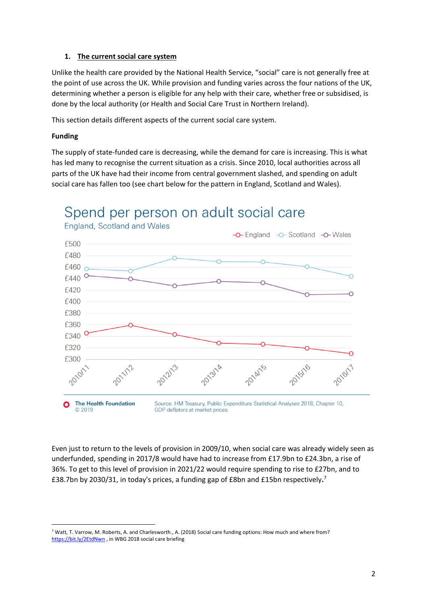# **1. The current social care system**

Unlike the health care provided by the National Health Service, "social" care is not generally free at the point of use across the UK. While provision and funding varies across the four nations of the UK, determining whether a person is eligible for any help with their care, whether free or subsidised, is done by the local authority (or Health and Social Care Trust in Northern Ireland).

This section details different aspects of the current social care system.

# **Funding**

The supply of state-funded care is decreasing, while the demand for care is increasing. This is what has led many to recognise the current situation as a crisis. Since 2010, local authorities across all parts of the UK have had their income from central government slashed, and spending on adult social care has fallen too (see chart below for the pattern in England, Scotland and Wales).



# Spend per person on adult social care

Even just to return to the levels of provision in 2009/10, when social care was already widely seen as underfunded, spending in 2017/8 would have had to increase from £17.9bn to £24.3bn, a rise of 36%. To get to this level of provision in 2021/22 would require spending to rise to £27bn, and to £38.7bn by 2030/31, in today's prices, a funding gap of £8bn and £15bn respectively**.** 7

<sup>7</sup> Watt, T. Varrow, M. Roberts, A. and Charlesworth., A. (2018) Social care funding options: How much and where from? <https://bit.ly/2EtdNwn> , in WBG 2018 social care briefing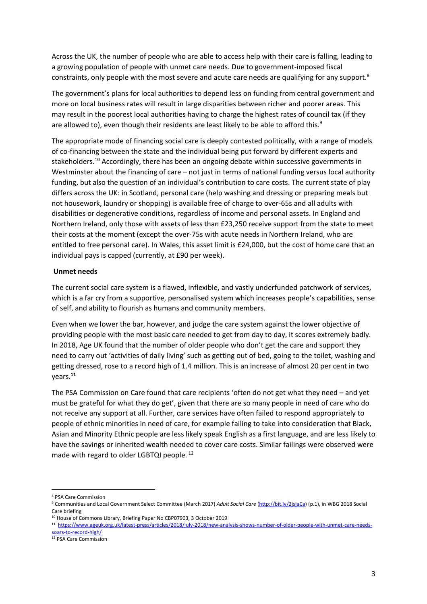Across the UK, the number of people who are able to access help with their care is falling, leading to a growing population of people with unmet care needs. Due to government-imposed fiscal constraints, only people with the most severe and acute care needs are qualifying for any support.<sup>8</sup>

The government's plans for local authorities to depend less on funding from central government and more on local business rates will result in large disparities between richer and poorer areas. This may result in the poorest local authorities having to charge the highest rates of council tax (if they are allowed to), even though their residents are least likely to be able to afford this.<sup>9</sup>

The appropriate mode of financing social care is deeply contested politically, with a range of models of co-financing between the state and the individual being put forward by different experts and stakeholders.<sup>10</sup> Accordingly, there has been an ongoing debate within successive governments in Westminster about the financing of care – not just in terms of national funding versus local authority funding, but also the question of an individual's contribution to care costs. The current state of play differs across the UK: in Scotland, personal care (help washing and dressing or preparing meals but not housework, laundry or shopping) is available free of charge to over-65s and all adults with disabilities or degenerative conditions, regardless of income and personal assets. In England and Northern Ireland, only those with assets of less than £23,250 receive support from the state to meet their costs at the moment (except the over-75s with acute needs in Northern Ireland, who are entitled to free personal care). In Wales, this asset limit is £24,000, but the cost of home care that an individual pays is capped (currently, at £90 per week).

#### **Unmet needs**

The current social care system is a flawed, inflexible, and vastly underfunded patchwork of services, which is a far cry from a supportive, personalised system which increases people's capabilities, sense of self, and ability to flourish as humans and community members.

Even when we lower the bar, however, and judge the care system against the lower objective of providing people with the most basic care needed to get from day to day, it scores extremely badly. In 2018, Age UK found that the number of older people who don't get the care and support they need to carry out 'activities of daily living' such as getting out of bed, going to the toilet, washing and getting dressed, rose to a record high of 1.4 million. This is an increase of almost 20 per cent in two years.**<sup>11</sup>**

The PSA Commission on Care found that care recipients 'often do not get what they need – and yet must be grateful for what they do get', given that there are so many people in need of care who do not receive any support at all. Further, care services have often failed to respond appropriately to people of ethnic minorities in need of care, for example failing to take into consideration that Black, Asian and Minority Ethnic people are less likely speak English as a first language, and are less likely to have the savings or inherited wealth needed to cover care costs. Similar failings were observed were made with regard to older LGBTQI people. <sup>12</sup>

<sup>8</sup> PSA Care Commission

<sup>9</sup> Communities and Local Government Select Committee (March 2017) *Adult Social Care* [\(http://bit.ly/2jsjaCa\)](http://bit.ly/2jsjaCa) (p.1), in WBG 2018 Social Care briefing

<sup>10</sup> House of Commons Library, Briefing Paper No CBP07903, 3 October 2019

**<sup>11</sup>**  [https://www.ageuk.org.uk/latest-press/articles/2018/july-2018/new-analysis-shows-number-of-older-people-with-unmet-care-needs](https://www.ageuk.org.uk/latest-press/articles/2018/july-2018/new-analysis-shows-number-of-older-people-with-unmet-care-needs-soars-to-record-high/)oars-to-record-high/

<sup>&</sup>lt;sup>12</sup> PSA Care Commission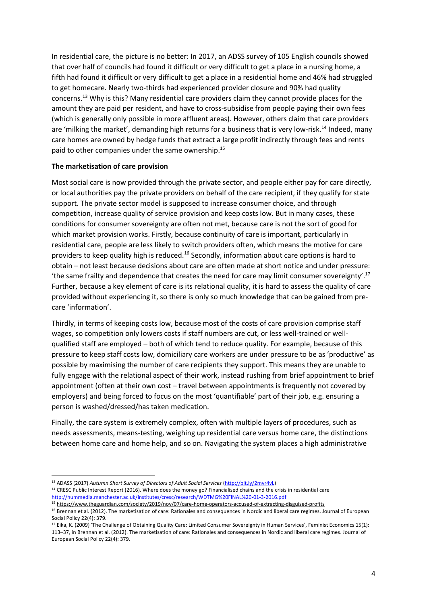In residential care, the picture is no better: In 2017, an ADSS survey of 105 English councils showed that over half of councils had found it difficult or very difficult to get a place in a nursing home, a fifth had found it difficult or very difficult to get a place in a residential home and 46% had struggled to get homecare. Nearly two-thirds had experienced provider closure and 90% had quality concerns.<sup>13</sup> Why is this? Many residential care providers claim they cannot provide places for the amount they are paid per resident, and have to cross-subsidise from people paying their own fees (which is generally only possible in more affluent areas). However, others claim that care providers are 'milking the market', demanding high returns for a business that is very low-risk.<sup>14</sup> Indeed, many care homes are owned by hedge funds that extract a large profit indirectly through fees and rents paid to other companies under the same ownership.<sup>15</sup>

# **The marketisation of care provision**

Most social care is now provided through the private sector, and people either pay for care directly, or local authorities pay the private providers on behalf of the care recipient, if they qualify for state support. The private sector model is supposed to increase consumer choice, and through competition, increase quality of service provision and keep costs low. But in many cases, these conditions for consumer sovereignty are often not met, because care is not the sort of good for which market provision works. Firstly, because continuity of care is important, particularly in residential care, people are less likely to switch providers often, which means the motive for care providers to keep quality high is reduced.<sup>16</sup> Secondly, information about care options is hard to obtain – not least because decisions about care are often made at short notice and under pressure: 'the same frailty and dependence that creates the need for care may limit consumer sovereignty'.<sup>17</sup> Further, because a key element of care is its relational quality, it is hard to assess the quality of care provided without experiencing it, so there is only so much knowledge that can be gained from precare 'information'.

Thirdly, in terms of keeping costs low, because most of the costs of care provision comprise staff wages, so competition only lowers costs if staff numbers are cut, or less well-trained or wellqualified staff are employed – both of which tend to reduce quality. For example, because of this pressure to keep staff costs low, domiciliary care workers are under pressure to be as 'productive' as possible by maximising the number of care recipients they support. This means they are unable to fully engage with the relational aspect of their work, instead rushing from brief appointment to brief appointment (often at their own cost – travel between appointments is frequently not covered by employers) and being forced to focus on the most 'quantifiable' part of their job, e.g. ensuring a person is washed/dressed/has taken medication.

Finally, the care system is extremely complex, often with multiple layers of procedures, such as needs assessments, means-testing, weighing up residential care versus home care, the distinctions between home care and home help, and so on. Navigating the system places a high administrative

<sup>13</sup> ADASS (2017) *Autumn Short Survey of Directors of Adult Social Services* [\(http://bit.ly/2mvr4vL\)](http://bit.ly/2mvr4vL) <sup>14</sup> CRESC Public Interest Report (2016). Where does the money go? Financialised chains and the crisis in residential care [http://hummedia.manchester.ac.uk/institutes/cresc/research/WDTMG%20FINAL%20-01-3-2016.pdf](http://hummedia.manchester.ac.uk/institutes/cresc/research/WDTMG%2520FINAL%2520-01-3-2016.pdf)

<sup>15</sup> <https://www.theguardian.com/society/2019/nov/07/care-home-operators-accused-of-extracting-disguised-profits>

<sup>&</sup>lt;sup>16</sup> Brennan et al. (2012). The marketisation of care: Rationales and consequences in Nordic and liberal care regimes. Journal of European Social Policy 22(4): 379.

<sup>&</sup>lt;sup>17</sup> Eika, K. (2009) 'The Challenge of Obtaining Quality Care: Limited Consumer Sovereignty in Human Services', Feminist Economics 15(1): 113–37, in Brennan et al. (2012). The marketisation of care: Rationales and consequences in Nordic and liberal care regimes. Journal of European Social Policy 22(4): 379.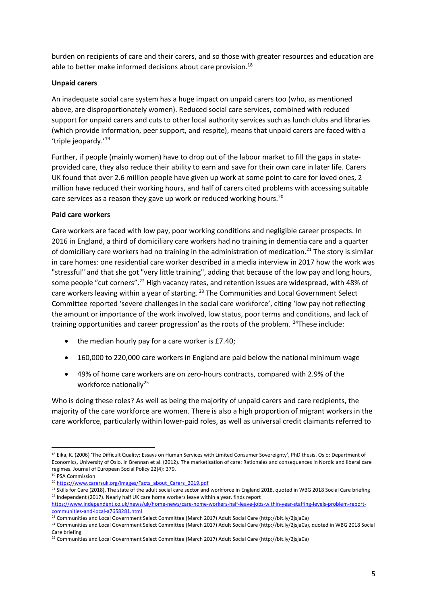burden on recipients of care and their carers, and so those with greater resources and education are able to better make informed decisions about care provision.<sup>18</sup>

# **Unpaid carers**

An inadequate social care system has a huge impact on unpaid carers too (who, as mentioned above, are disproportionately women). Reduced social care services, combined with reduced support for unpaid carers and cuts to other local authority services such as lunch clubs and libraries (which provide information, peer support, and respite), means that unpaid carers are faced with a 'triple jeopardy.'<sup>19</sup>

Further, if people (mainly women) have to drop out of the labour market to fill the gaps in stateprovided care, they also reduce their ability to earn and save for their own care in later life. Carers UK found that over 2.6 million people have given up work at some point to care for loved ones, 2 million have reduced their working hours, and half of carers cited problems with accessing suitable care services as a reason they gave up work or reduced working hours.<sup>20</sup>

#### **Paid care workers**

Care workers are faced with low pay, poor working conditions and negligible career prospects. In 2016 in England, a third of domiciliary care workers had no training in dementia care and a quarter of domiciliary care workers had no training in the administration of medication.<sup>21</sup> The story is similar in care homes: one residential care worker described in a media interview in 2017 how the work was "stressful" and that she got "very little training", adding that because of the low pay and long hours, some people "cut corners".<sup>22</sup> High vacancy rates, and retention issues are widespread, with 48% of care workers leaving within a year of starting.<sup>23</sup> The Communities and Local Government Select Committee reported 'severe challenges in the social care workforce', citing 'low pay not reflecting the amount or importance of the work involved, low status, poor terms and conditions, and lack of training opportunities and career progression' as the roots of the problem.  $24$ These include:

- the median hourly pay for a care worker is £7.40;
- 160,000 to 220,000 care workers in England are paid below the national minimum wage
- 49% of home care workers are on zero-hours contracts, compared with 2.9% of the workforce nationally<sup>25</sup>

Who is doing these roles? As well as being the majority of unpaid carers and care recipients, the majority of the care workforce are women. There is also a high proportion of migrant workers in the care workforce, particularly within lower-paid roles, as well as universal credit claimants referred to

<sup>&</sup>lt;sup>18</sup> Eika, K. (2006) 'The Difficult Quality: Essays on Human Services with Limited Consumer Sovereignty', PhD thesis. Oslo: Department of Economics, University of Oslo, in Brennan et al. (2012). The marketisation of care: Rationales and consequences in Nordic and liberal care regimes. Journal of European Social Policy 22(4): 379.

<sup>19</sup> PSA Commission

<sup>20</sup> [https://www.carersuk.org/images/Facts\\_about\\_Carers\\_2019.pdf](https://www.carersuk.org/images/Facts_about_Carers_2019.pdf)

<sup>&</sup>lt;sup>21</sup> Skills for Care (2018). The state of the adult social care sector and workforce in England 2018, quoted in WBG 2018 Social Care briefing <sup>22</sup> Independent (2017). Nearly half UK care home workers leave within a year, finds report

[https://www.independent.co.uk/news/uk/home-news/care-home-workers-half-leave-jobs-within-year-staffing-levels-problem-report](https://www.independent.co.uk/news/uk/home-news/care-home-workers-half-leave-jobs-within-year-staffing-levels-problem-report-communities-and-local-a7658281.html)[communities-and-local-a7658281.html](https://www.independent.co.uk/news/uk/home-news/care-home-workers-half-leave-jobs-within-year-staffing-levels-problem-report-communities-and-local-a7658281.html)

<sup>23</sup> Communities and Local Government Select Committee (March 2017) Adult Social Care (http://bit.ly/2jsjaCa)

<sup>24</sup> Communities and Local Government Select Committee (March 2017) Adult Social Care (http://bit.ly/2jsjaCa), quoted in WBG 2018 Social Care briefing

<sup>25</sup> Communities and Local Government Select Committee (March 2017) Adult Social Care (http://bit.ly/2jsjaCa)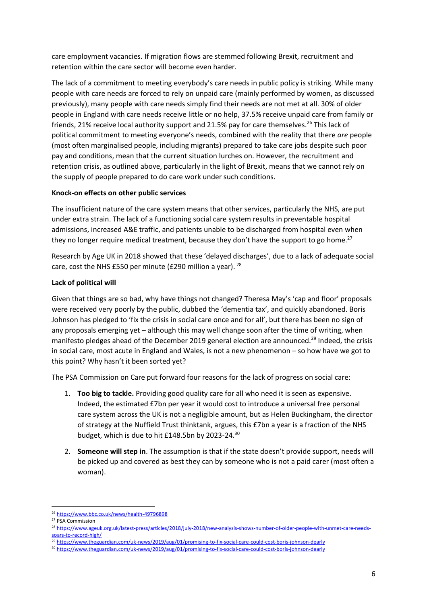care employment vacancies. If migration flows are stemmed following Brexit, recruitment and retention within the care sector will become even harder.

The lack of a commitment to meeting everybody's care needs in public policy is striking. While many people with care needs are forced to rely on unpaid care (mainly performed by women, as discussed previously), many people with care needs simply find their needs are not met at all. 30% of older people in England with care needs receive little or no help, 37.5% receive unpaid care from family or friends, 21% receive local authority support and 21.5% pay for care themselves.<sup>26</sup> This lack of political commitment to meeting everyone's needs, combined with the reality that there *are* people (most often marginalised people, including migrants) prepared to take care jobs despite such poor pay and conditions, mean that the current situation lurches on. However, the recruitment and retention crisis, as outlined above, particularly in the light of Brexit, means that we cannot rely on the supply of people prepared to do care work under such conditions.

# **Knock-on effects on other public services**

The insufficient nature of the care system means that other services, particularly the NHS, are put under extra strain. The lack of a functioning social care system results in preventable hospital admissions, increased A&E traffic, and patients unable to be discharged from hospital even when they no longer require medical treatment, because they don't have the support to go home.<sup>27</sup>

Research by Age UK in 2018 showed that these 'delayed discharges', due to a lack of adequate social care, cost the NHS £550 per minute (£290 million a year). <sup>28</sup>

# **Lack of political will**

Given that things are so bad, why have things not changed? Theresa May's 'cap and floor' proposals were received very poorly by the public, dubbed the 'dementia tax', and quickly abandoned. Boris Johnson has pledged to 'fix the crisis in social care once and for all', but there has been no sign of any proposals emerging yet – although this may well change soon after the time of writing, when manifesto pledges ahead of the December 2019 general election are announced.<sup>29</sup> Indeed, the crisis in social care, most acute in England and Wales, is not a new phenomenon – so how have we got to this point? Why hasn't it been sorted yet?

The PSA Commission on Care put forward four reasons for the lack of progress on social care:

- 1. **Too big to tackle.** Providing good quality care for all who need it is seen as expensive. Indeed, the estimated £7bn per year it would cost to introduce a universal free personal care system across the UK is not a negligible amount, but as Helen Buckingham, the director of strategy at the Nuffield Trust thinktank, argues, this £7bn a year is a fraction of the NHS budget, which is due to hit £148.5bn by 2023-24.<sup>30</sup>
- 2. **Someone will step in**. The assumption is that if the state doesn't provide support, needs will be picked up and covered as best they can by someone who is not a paid carer (most often a woman).

<sup>26</sup> <https://www.bbc.co.uk/news/health-49796898>

<sup>27</sup> PSA Commission

<sup>28</sup> [https://www.ageuk.org.uk/latest-press/articles/2018/july-2018/new-analysis-shows-number-of-older-people-with-unmet-care-needs](https://www.ageuk.org.uk/latest-press/articles/2018/july-2018/new-analysis-shows-number-of-older-people-with-unmet-care-needs-soars-to-record-high/)[soars-to-record-high/](https://www.ageuk.org.uk/latest-press/articles/2018/july-2018/new-analysis-shows-number-of-older-people-with-unmet-care-needs-soars-to-record-high/)

<sup>29</sup> <https://www.theguardian.com/uk-news/2019/aug/01/promising-to-fix-social-care-could-cost-boris-johnson-dearly>

<sup>30</sup> <https://www.theguardian.com/uk-news/2019/aug/01/promising-to-fix-social-care-could-cost-boris-johnson-dearly>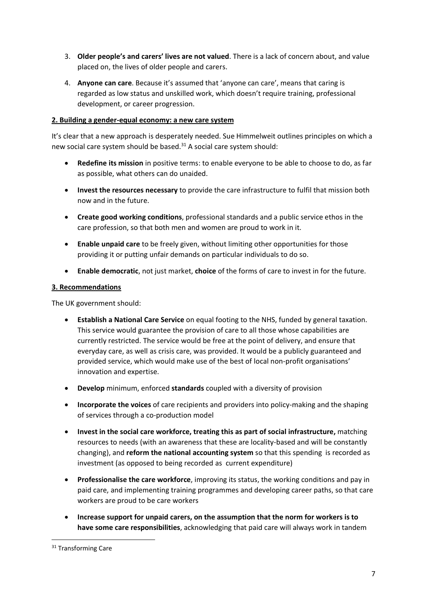- 3. **Older people's and carers' lives are not valued**. There is a lack of concern about, and value placed on, the lives of older people and carers.
- 4. **Anyone can care**. Because it's assumed that 'anyone can care', means that caring is regarded as low status and unskilled work, which doesn't require training, professional development, or career progression.

# **2. Building a gender-equal economy: a new care system**

It's clear that a new approach is desperately needed. Sue Himmelweit outlines principles on which a new social care system should be based.<sup>31</sup> A social care system should:

- **Redefine its mission** in positive terms: to enable everyone to be able to choose to do, as far as possible, what others can do unaided.
- **Invest the resources necessary** to provide the care infrastructure to fulfil that mission both now and in the future.
- **Create good working conditions**, professional standards and a public service ethos in the care profession, so that both men and women are proud to work in it.
- **Enable unpaid care** to be freely given, without limiting other opportunities for those providing it or putting unfair demands on particular individuals to do so.
- **Enable democratic**, not just market, **choice** of the forms of care to invest in for the future.

# **3. Recommendations**

The UK government should:

- **Establish a National Care Service** on equal footing to the NHS, funded by general taxation. This service would guarantee the provision of care to all those whose capabilities are currently restricted. The service would be free at the point of delivery, and ensure that everyday care, as well as crisis care, was provided. It would be a publicly guaranteed and provided service, which would make use of the best of local non-profit organisations' innovation and expertise.
- **Develop** minimum, enforced **standards** coupled with a diversity of provision
- **Incorporate the voices** of care recipients and providers into policy-making and the shaping of services through a co-production model
- **Invest in the social care workforce, treating this as part of social infrastructure,** matching resources to needs (with an awareness that these are locality-based and will be constantly changing), and **reform the national accounting system** so that this spending is recorded as investment (as opposed to being recorded as current expenditure)
- **Professionalise the care workforce**, improving its status, the working conditions and pay in paid care, and implementing training programmes and developing career paths, so that care workers are proud to be care workers
- **Increase support for unpaid carers, on the assumption that the norm for workers is to have some care responsibilities**, acknowledging that paid care will always work in tandem

<sup>&</sup>lt;sup>31</sup> Transforming Care